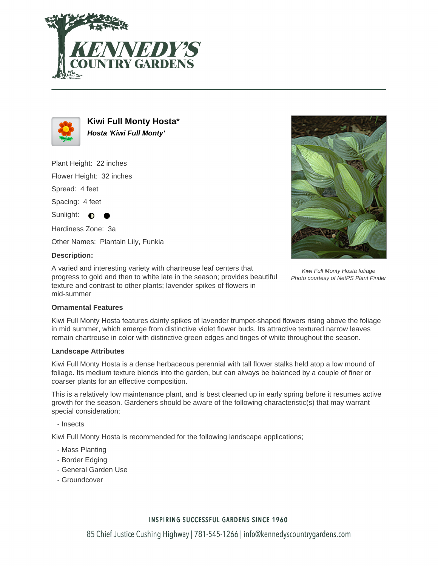



**Kiwi Full Monty Hosta**\* **Hosta 'Kiwi Full Monty'**

Plant Height: 22 inches

Flower Height: 32 inches

Spread: 4 feet

Spacing: 4 feet

Sunlight:  $\bigcirc$ 

Hardiness Zone: 3a

Other Names: Plantain Lily, Funkia

## **Description:**

A varied and interesting variety with chartreuse leaf centers that progress to gold and then to white late in the season; provides beautiful texture and contrast to other plants; lavender spikes of flowers in mid-summer



Kiwi Full Monty Hosta foliage Photo courtesy of NetPS Plant Finder

### **Ornamental Features**

Kiwi Full Monty Hosta features dainty spikes of lavender trumpet-shaped flowers rising above the foliage in mid summer, which emerge from distinctive violet flower buds. Its attractive textured narrow leaves remain chartreuse in color with distinctive green edges and tinges of white throughout the season.

#### **Landscape Attributes**

Kiwi Full Monty Hosta is a dense herbaceous perennial with tall flower stalks held atop a low mound of foliage. Its medium texture blends into the garden, but can always be balanced by a couple of finer or coarser plants for an effective composition.

This is a relatively low maintenance plant, and is best cleaned up in early spring before it resumes active growth for the season. Gardeners should be aware of the following characteristic(s) that may warrant special consideration;

- Insects

Kiwi Full Monty Hosta is recommended for the following landscape applications;

- Mass Planting
- Border Edging
- General Garden Use
- Groundcover

## **INSPIRING SUCCESSFUL GARDENS SINCE 1960**

85 Chief Justice Cushing Highway | 781-545-1266 | info@kennedyscountrygardens.com